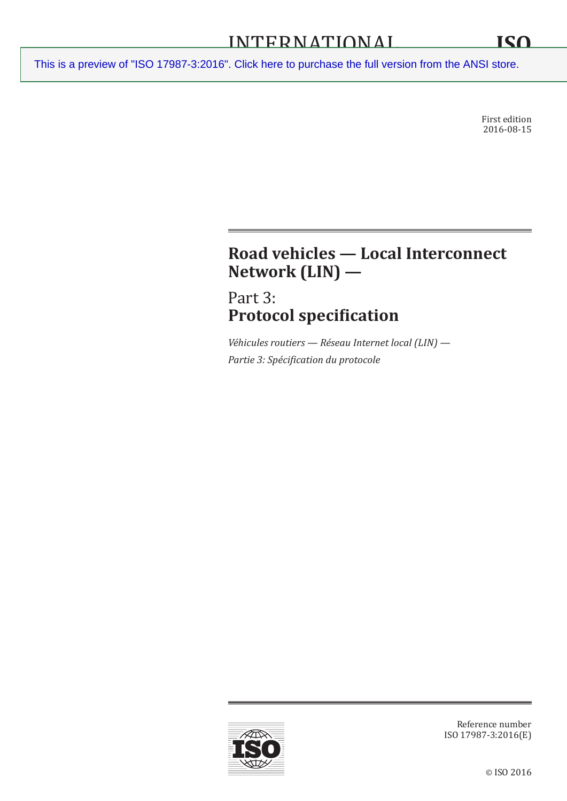First edition 2016-08-15

## **Road vehicles — Local Interconnect Network (LIN) —**

# Part 3: **Protocol specification**

*Véhicules routiers — Réseau Internet local (LIN) — Partie 3: Spécification du protocole*



Reference number ISO 17987-3:2016(E)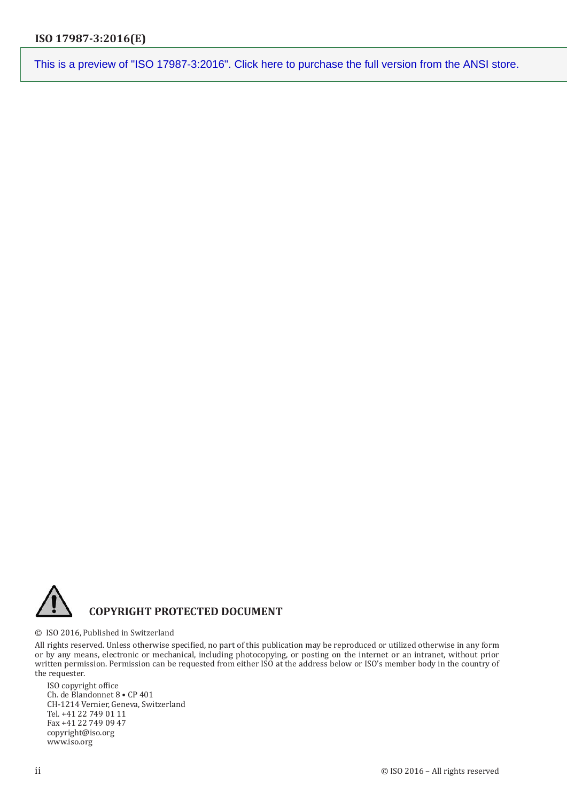

#### © ISO 2016, Published in Switzerland

All rights reserved. Unless otherwise specified, no part of this publication may be reproduced or utilized otherwise in any form or by any means, electronic or mechanical, including photocopying, or posting on the internet or an intranet, without prior written permission. Permission can be requested from either ISO at the address below or ISO's member body in the country of the requester.

ISO copyright office Ch. de Blandonnet 8 • CP 401 CH-1214 Vernier, Geneva, Switzerland Tel. +41 22 749 01 11 Fax +41 22 749 09 47 copyright@iso.org www.iso.org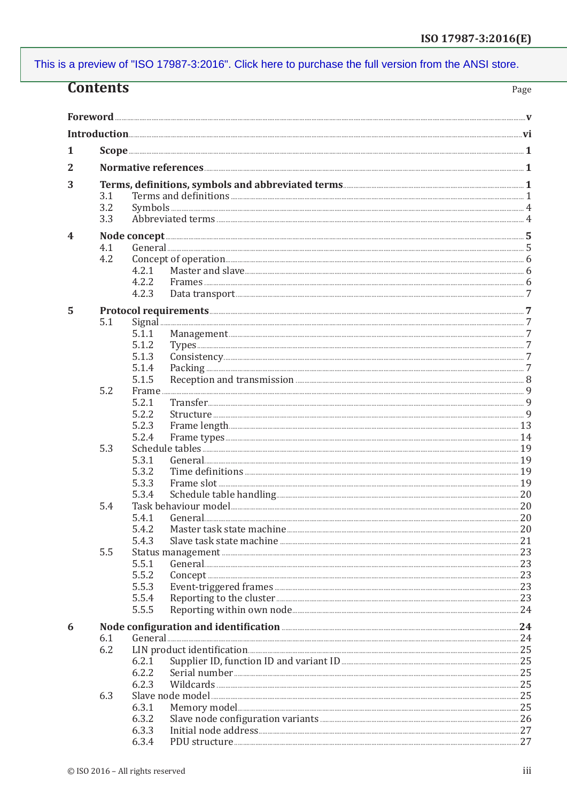|              | <b>Contents</b>                                                 |                                                                                                                                                                                                                                | Page |  |
|--------------|-----------------------------------------------------------------|--------------------------------------------------------------------------------------------------------------------------------------------------------------------------------------------------------------------------------|------|--|
|              |                                                                 |                                                                                                                                                                                                                                |      |  |
|              |                                                                 |                                                                                                                                                                                                                                |      |  |
| 1            |                                                                 |                                                                                                                                                                                                                                |      |  |
|              |                                                                 |                                                                                                                                                                                                                                |      |  |
| $\mathbf{2}$ |                                                                 |                                                                                                                                                                                                                                |      |  |
| 3            |                                                                 |                                                                                                                                                                                                                                |      |  |
|              | 3.1                                                             |                                                                                                                                                                                                                                |      |  |
|              | 3.2<br>3.3                                                      |                                                                                                                                                                                                                                |      |  |
|              |                                                                 |                                                                                                                                                                                                                                |      |  |
| 4            | 4.1                                                             |                                                                                                                                                                                                                                |      |  |
|              | 4.2                                                             |                                                                                                                                                                                                                                |      |  |
|              |                                                                 | 4.2.1                                                                                                                                                                                                                          |      |  |
|              |                                                                 | 4.2.2                                                                                                                                                                                                                          |      |  |
|              |                                                                 | 4.2.3                                                                                                                                                                                                                          |      |  |
| 5            |                                                                 |                                                                                                                                                                                                                                |      |  |
|              | 5.1                                                             |                                                                                                                                                                                                                                |      |  |
|              |                                                                 | 5.1.1                                                                                                                                                                                                                          |      |  |
|              |                                                                 | 5.1.2                                                                                                                                                                                                                          |      |  |
|              |                                                                 | 5.1.3<br>Consistency 7                                                                                                                                                                                                         |      |  |
|              |                                                                 | 5.1.4                                                                                                                                                                                                                          |      |  |
|              |                                                                 | 5.1.5                                                                                                                                                                                                                          |      |  |
|              | 5.2                                                             |                                                                                                                                                                                                                                |      |  |
|              |                                                                 | 5.2.1<br>Structure <b>Executive Structure</b> 9<br>5.2.2                                                                                                                                                                       |      |  |
|              |                                                                 | 5.2.3                                                                                                                                                                                                                          |      |  |
|              |                                                                 | 5.2.4                                                                                                                                                                                                                          |      |  |
|              | 5.3                                                             |                                                                                                                                                                                                                                |      |  |
|              |                                                                 | 5.3.1                                                                                                                                                                                                                          |      |  |
|              |                                                                 | 5.3.2                                                                                                                                                                                                                          |      |  |
|              |                                                                 | 5.3.3                                                                                                                                                                                                                          |      |  |
|              | 5.4                                                             | 5.3.4                                                                                                                                                                                                                          |      |  |
|              |                                                                 |                                                                                                                                                                                                                                |      |  |
|              |                                                                 | 5.4.1<br>5.4.2                                                                                                                                                                                                                 |      |  |
|              |                                                                 | 5.4.3                                                                                                                                                                                                                          |      |  |
|              | 5.5                                                             |                                                                                                                                                                                                                                |      |  |
|              |                                                                 | 5.5.1                                                                                                                                                                                                                          |      |  |
|              |                                                                 | 5.5.2                                                                                                                                                                                                                          |      |  |
|              |                                                                 | 5.5.3                                                                                                                                                                                                                          |      |  |
|              |                                                                 | 5.5.4                                                                                                                                                                                                                          |      |  |
|              |                                                                 | 5.5.5                                                                                                                                                                                                                          |      |  |
| 6            | Node configuration and identification <b>Manual Equation</b> 24 |                                                                                                                                                                                                                                |      |  |
|              | 6.1                                                             | General 24 and 24 and 24 and 24 and 25 and 26 and 26 and 26 and 26 and 26 and 26 and 26 and 26 and 26 and 26 and 26 and 26 and 26 and 26 and 26 and 26 and 26 and 26 and 27 and 27 and 27 and 27 and 27 and 27 and 27 and 27 a |      |  |
|              | 6.2                                                             |                                                                                                                                                                                                                                |      |  |
|              |                                                                 | 6.2.1<br>6.2.2                                                                                                                                                                                                                 |      |  |
|              |                                                                 | 6,2.3                                                                                                                                                                                                                          |      |  |
|              | 6.3                                                             |                                                                                                                                                                                                                                |      |  |
|              |                                                                 | 6.3.1                                                                                                                                                                                                                          |      |  |
|              |                                                                 | 6.3.2                                                                                                                                                                                                                          |      |  |
|              |                                                                 | 6.3.3                                                                                                                                                                                                                          |      |  |
|              |                                                                 | 6.3.4                                                                                                                                                                                                                          |      |  |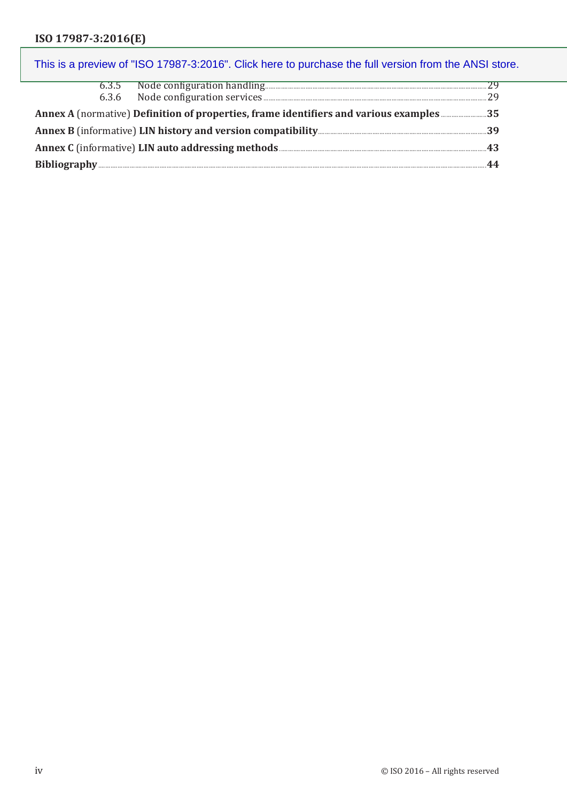| This is a preview of "ISO 17987-3:2016". Click here to purchase the full version from the ANSI store.                                                                                                                                |    |  |  |  |
|--------------------------------------------------------------------------------------------------------------------------------------------------------------------------------------------------------------------------------------|----|--|--|--|
|                                                                                                                                                                                                                                      |    |  |  |  |
| 6.3.6 Node configuration services <b>Commission Constanting Constanting Constanting Constanting Constanting Constanting Constanting Constanting Constanting Constanting Constanting Constanting Constanting Constanting Constant</b> | 29 |  |  |  |
| Annex A (normative) Definition of properties, frame identifiers and various examples 35                                                                                                                                              |    |  |  |  |
|                                                                                                                                                                                                                                      |    |  |  |  |
|                                                                                                                                                                                                                                      |    |  |  |  |
|                                                                                                                                                                                                                                      |    |  |  |  |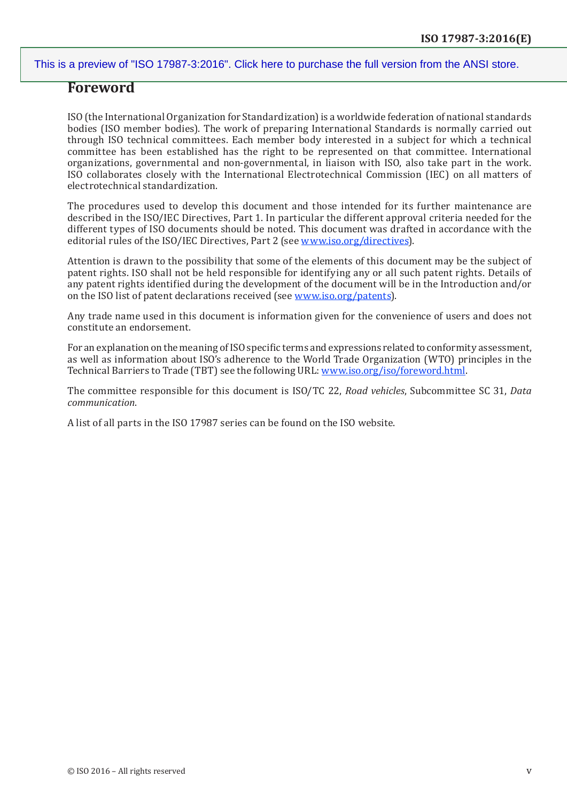### **Foreword**

ISO (the International Organization for Standardization) is a worldwide federation of national standards bodies (ISO member bodies). The work of preparing International Standards is normally carried out through ISO technical committees. Each member body interested in a subject for which a technical committee has been established has the right to be represented on that committee. International organizations, governmental and non-governmental, in liaison with ISO, also take part in the work. ISO collaborates closely with the International Electrotechnical Commission (IEC) on all matters of electrotechnical standardization.

The procedures used to develop this document and those intended for its further maintenance are described in the ISO/IEC Directives, Part 1. In particular the different approval criteria needed for the different types of ISO documents should be noted. This document was drafted in accordance with the editorial rules of the ISO/IEC Directives, Part 2 (see [www.iso.org/directives\)](http://www.iso.org/directives).

Attention is drawn to the possibility that some of the elements of this document may be the subject of patent rights. ISO shall not be held responsible for identifying any or all such patent rights. Details of any patent rights identified during the development of the document will be in the Introduction and/or on the ISO list of patent declarations received (see [www.iso.org/patents](http://www.iso.org/patents)).

Any trade name used in this document is information given for the convenience of users and does not constitute an endorsement.

For an explanation on the meaning of ISO specific terms and expressions related to conformity assessment, as well as information about ISO's adherence to the World Trade Organization (WTO) principles in the Technical Barriers to Trade (TBT) see the following URL: [www.iso.org/iso/foreword.html](http://www.iso.org/iso/foreword.html).

The committee responsible for this document is ISO/TC 22, *Road vehicles*, Subcommittee SC 31, *Data communication*.

A list of all parts in the ISO 17987 series can be found on the ISO website.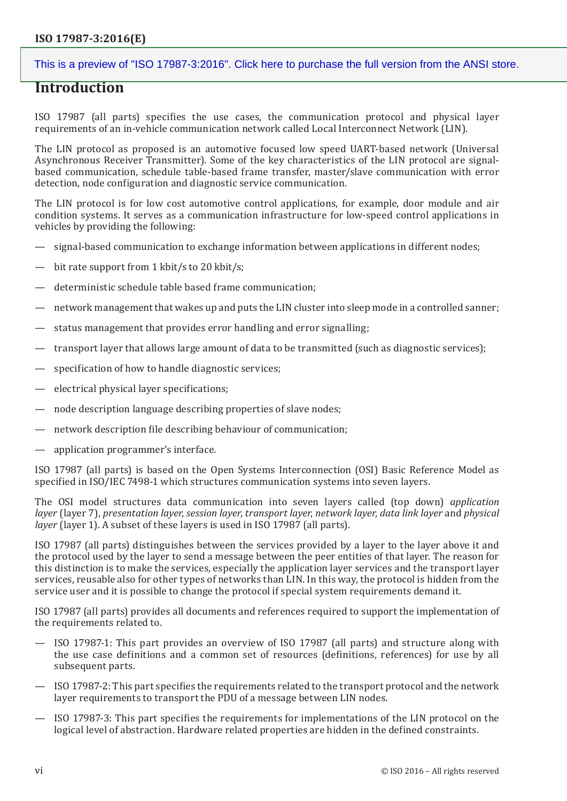## **Introduction**

ISO 17987 (all parts) specifies the use cases, the communication protocol and physical layer requirements of an in-vehicle communication network called Local Interconnect Network (LIN).

The LIN protocol as proposed is an automotive focused low speed UART-based network (Universal Asynchronous Receiver Transmitter). Some of the key characteristics of the LIN protocol are signalbased communication, schedule table-based frame transfer, master/slave communication with error detection, node configuration and diagnostic service communication.

The LIN protocol is for low cost automotive control applications, for example, door module and air condition systems. It serves as a communication infrastructure for low-speed control applications in vehicles by providing the following:

- signal-based communication to exchange information between applications in different nodes;
- bit rate support from 1 kbit/s to 20 kbit/s;
- deterministic schedule table based frame communication:
- network management that wakes up and puts the LIN cluster into sleep mode in a controlled sanner;
- status management that provides error handling and error signalling;
- transport layer that allows large amount of data to be transmitted (such as diagnostic services);
- specification of how to handle diagnostic services;
- electrical physical layer specifications;
- node description language describing properties of slave nodes;
- network description file describing behaviour of communication;
- application programmer's interface.

ISO 17987 (all parts) is based on the Open Systems Interconnection (OSI) Basic Reference Model as specified in ISO/IEC 7498-1 which structures communication systems into seven layers.

The OSI model structures data communication into seven layers called (top down) *application layer* (layer 7), *presentation layer*, *session layer*, *transport layer*, *network layer*, *data link layer* and *physical layer* (layer 1). A subset of these layers is used in ISO 17987 (all parts).

ISO 17987 (all parts) distinguishes between the services provided by a layer to the layer above it and the protocol used by the layer to send a message between the peer entities of that layer. The reason for this distinction is to make the services, especially the application layer services and the transport layer services, reusable also for other types of networks than LIN. In this way, the protocol is hidden from the service user and it is possible to change the protocol if special system requirements demand it.

ISO 17987 (all parts) provides all documents and references required to support the implementation of the requirements related to.

- ISO 17987-1: This part provides an overview of ISO 17987 (all parts) and structure along with the use case definitions and a common set of resources (definitions, references) for use by all subsequent parts.
- ISO 17987-2: This part specifies the requirements related to the transport protocol and the network layer requirements to transport the PDU of a message between LIN nodes.
- ISO 17987-3: This part specifies the requirements for implementations of the LIN protocol on the logical level of abstraction. Hardware related properties are hidden in the defined constraints.